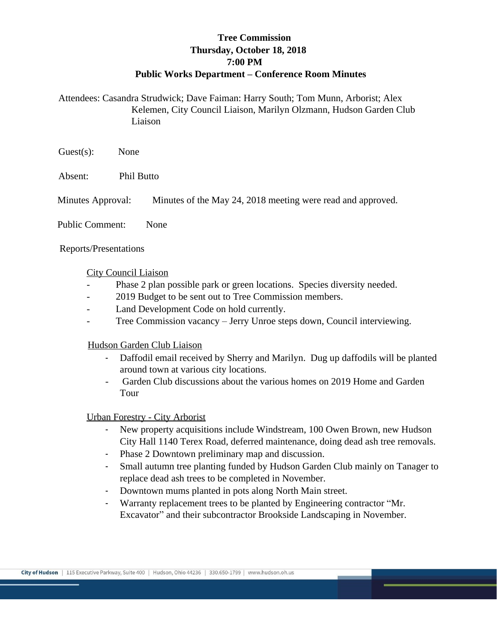# **Tree Commission Thursday, October 18, 2018 7:00 PM Public Works Department – Conference Room Minutes**

Attendees: Casandra Strudwick; Dave Faiman: Harry South; Tom Munn, Arborist; Alex Kelemen, City Council Liaison, Marilyn Olzmann, Hudson Garden Club Liaison

Guest(s): None

Absent: Phil Butto

Minutes Approval: Minutes of the May 24, 2018 meeting were read and approved.

Public Comment: None

Reports/Presentations

#### City Council Liaison

- Phase 2 plan possible park or green locations. Species diversity needed.
- 2019 Budget to be sent out to Tree Commission members.
- Land Development Code on hold currently.
- Tree Commission vacancy Jerry Unroe steps down, Council interviewing.

#### Hudson Garden Club Liaison

- Daffodil email received by Sherry and Marilyn. Dug up daffodils will be planted around town at various city locations.
- Garden Club discussions about the various homes on 2019 Home and Garden Tour

#### Urban Forestry - City Arborist

- New property acquisitions include Windstream, 100 Owen Brown, new Hudson City Hall 1140 Terex Road, deferred maintenance, doing dead ash tree removals.
- Phase 2 Downtown preliminary map and discussion.
- Small autumn tree planting funded by Hudson Garden Club mainly on Tanager to replace dead ash trees to be completed in November.
- Downtown mums planted in pots along North Main street.
- Warranty replacement trees to be planted by Engineering contractor "Mr. Excavator" and their subcontractor Brookside Landscaping in November.